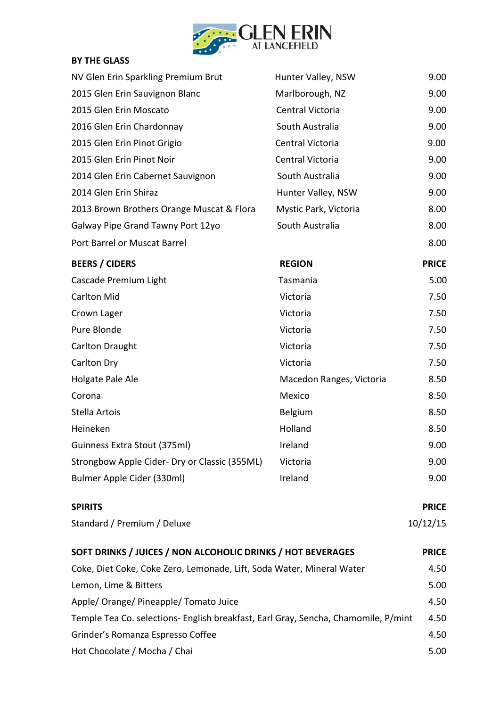

# **BY THE GLASS**

| NV Glen Erin Sparkling Premium Brut                                                | Hunter Valley, NSW       | 9.00         |
|------------------------------------------------------------------------------------|--------------------------|--------------|
| 2015 Glen Erin Sauvignon Blanc                                                     | Marlborough, NZ          | 9.00         |
| 2015 Glen Erin Moscato                                                             | Central Victoria         | 9.00         |
| 2016 Glen Erin Chardonnay                                                          | South Australia          | 9.00         |
| 2015 Glen Erin Pinot Grigio                                                        | Central Victoria         | 9.00         |
| 2015 Glen Erin Pinot Noir                                                          | Central Victoria         | 9.00         |
| 2014 Glen Erin Cabernet Sauvignon                                                  | South Australia          | 9.00         |
| 2014 Glen Erin Shiraz                                                              | Hunter Valley, NSW       | 9.00         |
| 2013 Brown Brothers Orange Muscat & Flora                                          | Mystic Park, Victoria    | 8.00         |
| Galway Pipe Grand Tawny Port 12yo                                                  | South Australia          | 8.00         |
| Port Barrel or Muscat Barrel                                                       |                          | 8.00         |
| <b>BEERS / CIDERS</b>                                                              | <b>REGION</b>            | <b>PRICE</b> |
| Cascade Premium Light                                                              | Tasmania                 | 5.00         |
| <b>Carlton Mid</b>                                                                 | Victoria                 | 7.50         |
| Crown Lager                                                                        | Victoria                 | 7.50         |
| Pure Blonde                                                                        | Victoria                 | 7.50         |
| <b>Carlton Draught</b>                                                             | Victoria                 | 7.50         |
| Carlton Dry                                                                        | Victoria                 | 7.50         |
| Holgate Pale Ale                                                                   | Macedon Ranges, Victoria | 8.50         |
| Corona                                                                             | Mexico                   | 8.50         |
| Stella Artois                                                                      | Belgium                  | 8.50         |
| Heineken                                                                           | Holland                  | 8.50         |
| Guinness Extra Stout (375ml)                                                       | Ireland                  | 9.00         |
| Strongbow Apple Cider- Dry or Classic (355ML)                                      | Victoria                 | 9.00         |
| Bulmer Apple Cider (330ml)                                                         | Ireland                  | 9.00         |
| <b>SPIRITS</b>                                                                     |                          | <b>PRICE</b> |
| Standard / Premium / Deluxe                                                        |                          | 10/12/15     |
| SOFT DRINKS / JUICES / NON ALCOHOLIC DRINKS / HOT BEVERAGES                        |                          | <b>PRICE</b> |
| Coke, Diet Coke, Coke Zero, Lemonade, Lift, Soda Water, Mineral Water              |                          | 4.50         |
| Lemon, Lime & Bitters                                                              |                          | 5.00         |
| Apple/ Orange/ Pineapple/ Tomato Juice                                             |                          | 4.50         |
| Temple Tea Co. selections- English breakfast, Earl Gray, Sencha, Chamomile, P/mint |                          | 4.50         |
| Grinder's Romanza Espresso Coffee                                                  |                          | 4.50         |
| Hot Chocolate / Mocha / Chai                                                       |                          | 5.00         |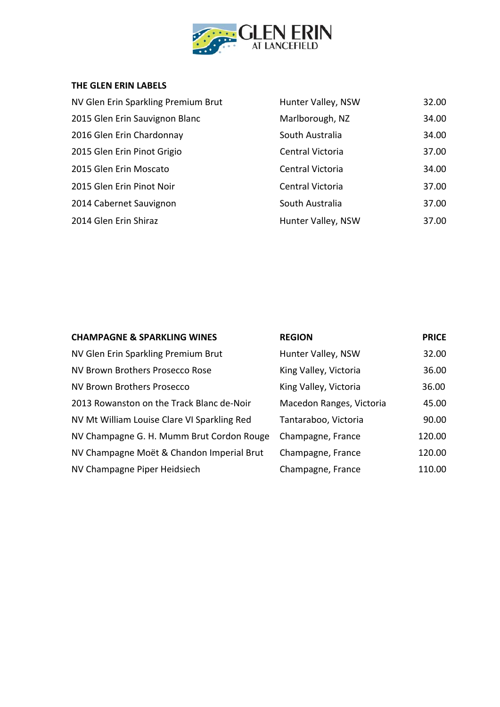

#### **THE GLEN ERIN LABELS**

| NV Glen Erin Sparkling Premium Brut | Hunter Valley, NSW | 32.00 |
|-------------------------------------|--------------------|-------|
| 2015 Glen Erin Sauvignon Blanc      | Marlborough, NZ    | 34.00 |
| 2016 Glen Erin Chardonnay           | South Australia    | 34.00 |
| 2015 Glen Erin Pinot Grigio         | Central Victoria   | 37.00 |
| 2015 Glen Erin Moscato              | Central Victoria   | 34.00 |
| 2015 Glen Erin Pinot Noir           | Central Victoria   | 37.00 |
| 2014 Cabernet Sauvignon             | South Australia    | 37.00 |
| 2014 Glen Erin Shiraz               | Hunter Valley, NSW | 37.00 |

| <b>CHAMPAGNE &amp; SPARKLING WINES</b>      | <b>REGION</b>            | <b>PRICE</b> |
|---------------------------------------------|--------------------------|--------------|
| NV Glen Erin Sparkling Premium Brut         | Hunter Valley, NSW       | 32.00        |
| NV Brown Brothers Prosecco Rose             | King Valley, Victoria    | 36.00        |
| NV Brown Brothers Prosecco                  | King Valley, Victoria    | 36.00        |
| 2013 Rowanston on the Track Blanc de-Noir   | Macedon Ranges, Victoria | 45.00        |
| NV Mt William Louise Clare VI Sparkling Red | Tantaraboo, Victoria     | 90.00        |
| NV Champagne G. H. Mumm Brut Cordon Rouge   | Champagne, France        | 120.00       |
| NV Champagne Moët & Chandon Imperial Brut   | Champagne, France        | 120.00       |
| NV Champagne Piper Heidsiech                | Champagne, France        | 110.00       |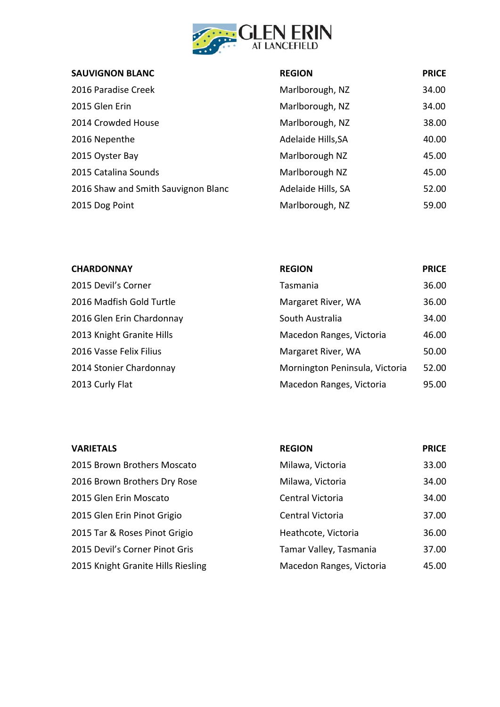

| <b>SAUVIGNON BLANC</b>              | <b>REGION</b>      | <b>PRICE</b> |
|-------------------------------------|--------------------|--------------|
| 2016 Paradise Creek                 | Marlborough, NZ    | 34.00        |
| 2015 Glen Erin                      | Marlborough, NZ    | 34.00        |
| 2014 Crowded House                  | Marlborough, NZ    | 38.00        |
| 2016 Nepenthe                       | Adelaide Hills, SA | 40.00        |
| 2015 Oyster Bay                     | Marlborough NZ     | 45.00        |
| 2015 Catalina Sounds                | Marlborough NZ     | 45.00        |
| 2016 Shaw and Smith Sauvignon Blanc | Adelaide Hills, SA | 52.00        |
| 2015 Dog Point                      | Marlborough, NZ    | 59.00        |

| <b>CHARDONNAY</b>         | <b>REGION</b>                  | <b>PRICE</b> |
|---------------------------|--------------------------------|--------------|
| 2015 Devil's Corner       | Tasmania                       | 36.00        |
| 2016 Madfish Gold Turtle  | Margaret River, WA             | 36.00        |
| 2016 Glen Erin Chardonnay | South Australia                | 34.00        |
| 2013 Knight Granite Hills | Macedon Ranges, Victoria       | 46.00        |
| 2016 Vasse Felix Filius   | Margaret River, WA             | 50.00        |
| 2014 Stonier Chardonnay   | Mornington Peninsula, Victoria | 52.00        |
| 2013 Curly Flat           | Macedon Ranges, Victoria       | 95.00        |

| <b>VARIETALS</b>                   | <b>REGION</b>            | <b>PRICE</b> |
|------------------------------------|--------------------------|--------------|
| 2015 Brown Brothers Moscato        | Milawa, Victoria         | 33.00        |
| 2016 Brown Brothers Dry Rose       | Milawa, Victoria         | 34.00        |
| 2015 Glen Erin Moscato             | Central Victoria         | 34.00        |
| 2015 Glen Erin Pinot Grigio        | Central Victoria         | 37.00        |
| 2015 Tar & Roses Pinot Grigio      | Heathcote, Victoria      | 36.00        |
| 2015 Devil's Corner Pinot Gris     | Tamar Valley, Tasmania   | 37.00        |
| 2015 Knight Granite Hills Riesling | Macedon Ranges, Victoria | 45.00        |
|                                    |                          |              |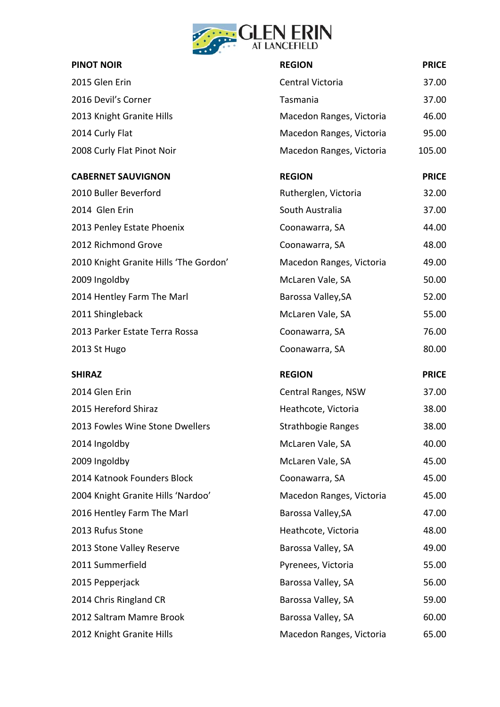

| $\bullet$ $\bullet$                    |                           |              |
|----------------------------------------|---------------------------|--------------|
| <b>PINOT NOIR</b>                      | <b>REGION</b>             | <b>PRICE</b> |
| 2015 Glen Erin                         | Central Victoria          | 37.00        |
| 2016 Devil's Corner                    | Tasmania                  | 37.00        |
| 2013 Knight Granite Hills              | Macedon Ranges, Victoria  | 46.00        |
| 2014 Curly Flat                        | Macedon Ranges, Victoria  | 95.00        |
| 2008 Curly Flat Pinot Noir             | Macedon Ranges, Victoria  | 105.00       |
| <b>CABERNET SAUVIGNON</b>              | <b>REGION</b>             | <b>PRICE</b> |
| 2010 Buller Beverford                  | Rutherglen, Victoria      | 32.00        |
| 2014 Glen Erin                         | South Australia           | 37.00        |
| 2013 Penley Estate Phoenix             | Coonawarra, SA            | 44.00        |
| 2012 Richmond Grove                    | Coonawarra, SA            | 48.00        |
| 2010 Knight Granite Hills 'The Gordon' | Macedon Ranges, Victoria  | 49.00        |
| 2009 Ingoldby                          | McLaren Vale, SA          | 50.00        |
| 2014 Hentley Farm The Marl             | Barossa Valley, SA        | 52.00        |
| 2011 Shingleback                       | McLaren Vale, SA          | 55.00        |
| 2013 Parker Estate Terra Rossa         | Coonawarra, SA            | 76.00        |
| 2013 St Hugo                           | Coonawarra, SA            | 80.00        |
| <b>SHIRAZ</b>                          | <b>REGION</b>             | <b>PRICE</b> |
| 2014 Glen Erin                         | Central Ranges, NSW       | 37.00        |
| 2015 Hereford Shiraz                   | Heathcote, Victoria       | 38.00        |
| 2013 Fowles Wine Stone Dwellers        | <b>Strathbogie Ranges</b> | 38.00        |
| 2014 Ingoldby                          | McLaren Vale, SA          | 40.00        |
| 2009 Ingoldby                          | McLaren Vale, SA          | 45.00        |
| 2014 Katnook Founders Block            | Coonawarra, SA            | 45.00        |
| 2004 Knight Granite Hills 'Nardoo'     | Macedon Ranges, Victoria  | 45.00        |
| 2016 Hentley Farm The Marl             | Barossa Valley, SA        | 47.00        |
| 2013 Rufus Stone                       | Heathcote, Victoria       | 48.00        |
| 2013 Stone Valley Reserve              | Barossa Valley, SA        | 49.00        |
| 2011 Summerfield                       | Pyrenees, Victoria        | 55.00        |
| 2015 Pepperjack                        | Barossa Valley, SA        | 56.00        |
| 2014 Chris Ringland CR                 | Barossa Valley, SA        | 59.00        |
| 2012 Saltram Mamre Brook               | Barossa Valley, SA        | 60.00        |
| 2012 Knight Granite Hills              | Macedon Ranges, Victoria  | 65.00        |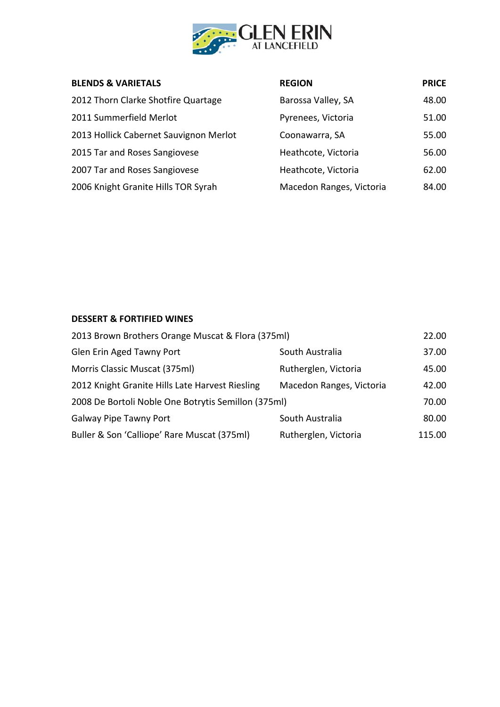

| <b>BLENDS &amp; VARIETALS</b>          | <b>REGION</b>            | <b>PRICE</b> |
|----------------------------------------|--------------------------|--------------|
| 2012 Thorn Clarke Shotfire Quartage    | Barossa Valley, SA       | 48.00        |
| 2011 Summerfield Merlot                | Pyrenees, Victoria       | 51.00        |
| 2013 Hollick Cabernet Sauvignon Merlot | Coonawarra, SA           | 55.00        |
| 2015 Tar and Roses Sangiovese          | Heathcote, Victoria      | 56.00        |
| 2007 Tar and Roses Sangiovese          | Heathcote, Victoria      | 62.00        |
| 2006 Knight Granite Hills TOR Syrah    | Macedon Ranges, Victoria | 84.00        |

## **DESSERT & FORTIFIED WINES**

| 2013 Brown Brothers Orange Muscat & Flora (375ml)   |                          | 22.00  |
|-----------------------------------------------------|--------------------------|--------|
| Glen Erin Aged Tawny Port                           | South Australia          | 37.00  |
| Morris Classic Muscat (375ml)                       | Rutherglen, Victoria     | 45.00  |
| 2012 Knight Granite Hills Late Harvest Riesling     | Macedon Ranges, Victoria | 42.00  |
| 2008 De Bortoli Noble One Botrytis Semillon (375ml) |                          | 70.00  |
| <b>Galway Pipe Tawny Port</b>                       | South Australia          | 80.00  |
| Buller & Son 'Calliope' Rare Muscat (375ml)         | Rutherglen, Victoria     | 115.00 |